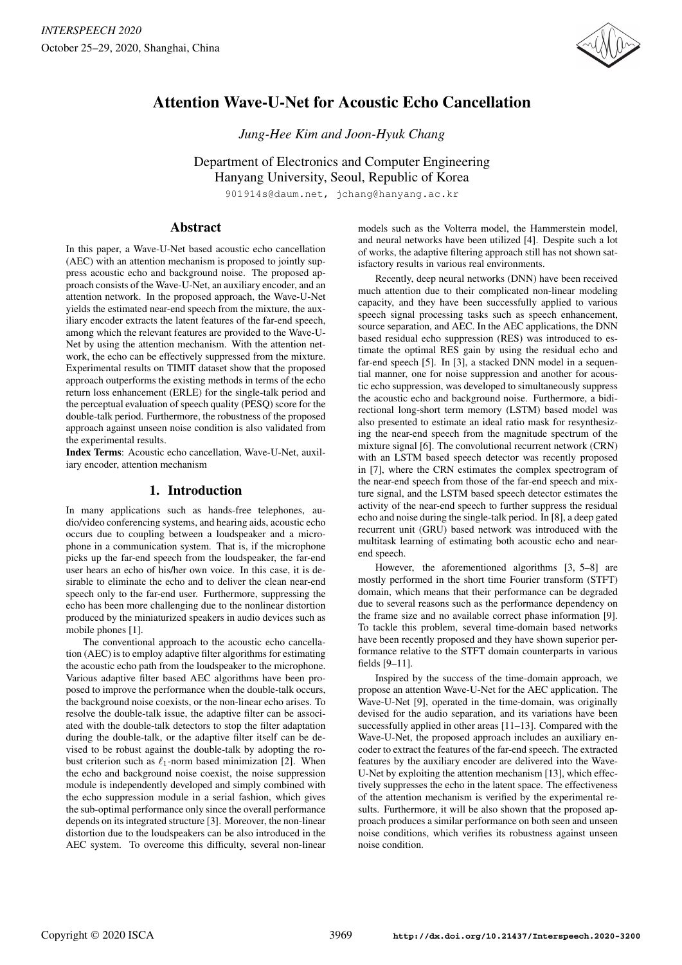

# Attention Wave-U-Net for Acoustic Echo Cancellation

*Jung-Hee Kim and Joon-Hyuk Chang*

Department of Electronics and Computer Engineering Hanyang University, Seoul, Republic of Korea

901914s@daum.net, jchang@hanyang.ac.kr

# Abstract

In this paper, a Wave-U-Net based acoustic echo cancellation (AEC) with an attention mechanism is proposed to jointly suppress acoustic echo and background noise. The proposed approach consists of the Wave-U-Net, an auxiliary encoder, and an attention network. In the proposed approach, the Wave-U-Net yields the estimated near-end speech from the mixture, the auxiliary encoder extracts the latent features of the far-end speech, among which the relevant features are provided to the Wave-U-Net by using the attention mechanism. With the attention network, the echo can be effectively suppressed from the mixture. Experimental results on TIMIT dataset show that the proposed approach outperforms the existing methods in terms of the echo return loss enhancement (ERLE) for the single-talk period and the perceptual evaluation of speech quality (PESQ) score for the double-talk period. Furthermore, the robustness of the proposed approach against unseen noise condition is also validated from the experimental results.

Index Terms: Acoustic echo cancellation, Wave-U-Net, auxiliary encoder, attention mechanism

# 1. Introduction

In many applications such as hands-free telephones, audio/video conferencing systems, and hearing aids, acoustic echo occurs due to coupling between a loudspeaker and a microphone in a communication system. That is, if the microphone picks up the far-end speech from the loudspeaker, the far-end user hears an echo of his/her own voice. In this case, it is desirable to eliminate the echo and to deliver the clean near-end speech only to the far-end user. Furthermore, suppressing the echo has been more challenging due to the nonlinear distortion produced by the miniaturized speakers in audio devices such as mobile phones [1].

The conventional approach to the acoustic echo cancellation (AEC) is to employ adaptive filter algorithms for estimating the acoustic echo path from the loudspeaker to the microphone. Various adaptive filter based AEC algorithms have been proposed to improve the performance when the double-talk occurs, the background noise coexists, or the non-linear echo arises. To resolve the double-talk issue, the adaptive filter can be associated with the double-talk detectors to stop the filter adaptation during the double-talk, or the adaptive filter itself can be devised to be robust against the double-talk by adopting the robust criterion such as  $\ell_1$ -norm based minimization [2]. When the echo and background noise coexist, the noise suppression module is independently developed and simply combined with the echo suppression module in a serial fashion, which gives the sub-optimal performance only since the overall performance depends on its integrated structure [3]. Moreover, the non-linear distortion due to the loudspeakers can be also introduced in the AEC system. To overcome this difficulty, several non-linear models such as the Volterra model, the Hammerstein model, and neural networks have been utilized [4]. Despite such a lot of works, the adaptive filtering approach still has not shown satisfactory results in various real environments.

Recently, deep neural networks (DNN) have been received much attention due to their complicated non-linear modeling capacity, and they have been successfully applied to various speech signal processing tasks such as speech enhancement, source separation, and AEC. In the AEC applications, the DNN based residual echo suppression (RES) was introduced to estimate the optimal RES gain by using the residual echo and far-end speech [5]. In [3], a stacked DNN model in a sequential manner, one for noise suppression and another for acoustic echo suppression, was developed to simultaneously suppress the acoustic echo and background noise. Furthermore, a bidirectional long-short term memory (LSTM) based model was also presented to estimate an ideal ratio mask for resynthesizing the near-end speech from the magnitude spectrum of the mixture signal [6]. The convolutional recurrent network (CRN) with an LSTM based speech detector was recently proposed in [7], where the CRN estimates the complex spectrogram of the near-end speech from those of the far-end speech and mixture signal, and the LSTM based speech detector estimates the activity of the near-end speech to further suppress the residual echo and noise during the single-talk period. In [8], a deep gated recurrent unit (GRU) based network was introduced with the multitask learning of estimating both acoustic echo and nearend speech.

However, the aforementioned algorithms [3, 5–8] are mostly performed in the short time Fourier transform (STFT) domain, which means that their performance can be degraded due to several reasons such as the performance dependency on the frame size and no available correct phase information [9]. To tackle this problem, several time-domain based networks have been recently proposed and they have shown superior performance relative to the STFT domain counterparts in various fields [9–11].

Inspired by the success of the time-domain approach, we propose an attention Wave-U-Net for the AEC application. The Wave-U-Net [9], operated in the time-domain, was originally devised for the audio separation, and its variations have been successfully applied in other areas [11–13]. Compared with the Wave-U-Net, the proposed approach includes an auxiliary encoder to extract the features of the far-end speech. The extracted features by the auxiliary encoder are delivered into the Wave-U-Net by exploiting the attention mechanism [13], which effectively suppresses the echo in the latent space. The effectiveness of the attention mechanism is verified by the experimental results. Furthermore, it will be also shown that the proposed approach produces a similar performance on both seen and unseen noise conditions, which verifies its robustness against unseen noise condition.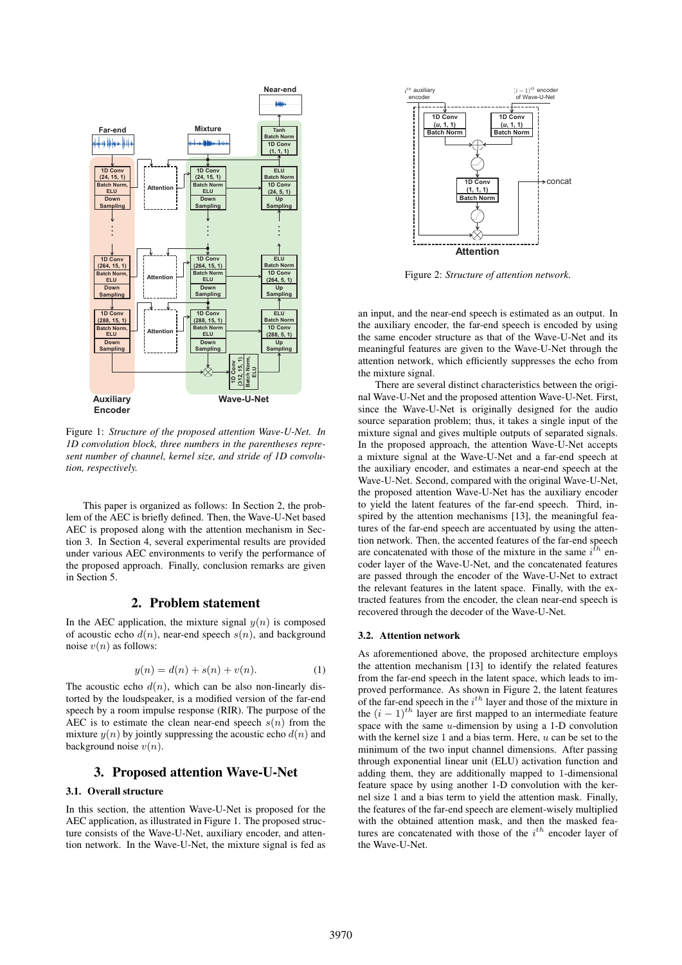

Figure 1: *Structure of the proposed attention Wave-U-Net. In 1D convolution block, three numbers in the parentheses represent number of channel, kernel size, and stride of 1D convolution, respectively.*

This paper is organized as follows: In Section 2, the problem of the AEC is briefly defined. Then, the Wave-U-Net based AEC is proposed along with the attention mechanism in Section 3. In Section 4, several experimental results are provided under various AEC environments to verify the performance of the proposed approach. Finally, conclusion remarks are given in Section 5.

## 2. Problem statement

In the AEC application, the mixture signal  $y(n)$  is composed of acoustic echo  $d(n)$ , near-end speech  $s(n)$ , and background noise  $v(n)$  as follows:

$$
y(n) = d(n) + s(n) + v(n).
$$
 (1)

The acoustic echo  $d(n)$ , which can be also non-linearly distorted by the loudspeaker, is a modified version of the far-end speech by a room impulse response (RIR). The purpose of the AEC is to estimate the clean near-end speech  $s(n)$  from the mixture  $y(n)$  by jointly suppressing the acoustic echo  $d(n)$  and background noise  $v(n)$ .

### 3. Proposed attention Wave-U-Net

#### 3.1. Overall structure

In this section, the attention Wave-U-Net is proposed for the AEC application, as illustrated in Figure 1. The proposed structure consists of the Wave-U-Net, auxiliary encoder, and attention network. In the Wave-U-Net, the mixture signal is fed as



Figure 2: *Structure of attention network.*

an input, and the near-end speech is estimated as an output. In the auxiliary encoder, the far-end speech is encoded by using the same encoder structure as that of the Wave-U-Net and its meaningful features are given to the Wave-U-Net through the attention network, which efficiently suppresses the echo from the mixture signal.

There are several distinct characteristics between the original Wave-U-Net and the proposed attention Wave-U-Net. First, since the Wave-U-Net is originally designed for the audio source separation problem; thus, it takes a single input of the mixture signal and gives multiple outputs of separated signals. In the proposed approach, the attention Wave-U-Net accepts a mixture signal at the Wave-U-Net and a far-end speech at the auxiliary encoder, and estimates a near-end speech at the Wave-U-Net. Second, compared with the original Wave-U-Net, the proposed attention Wave-U-Net has the auxiliary encoder to yield the latent features of the far-end speech. Third, inspired by the attention mechanisms [13], the meaningful features of the far-end speech are accentuated by using the attention network. Then, the accented features of the far-end speech are concatenated with those of the mixture in the same  $i$ <sup>'</sup> <sup>t</sup> encoder layer of the Wave-U-Net, and the concatenated features are passed through the encoder of the Wave-U-Net to extract the relevant features in the latent space. Finally, with the extracted features from the encoder, the clean near-end speech is recovered through the decoder of the Wave-U-Net.

#### 3.2. Attention network

As aforementioned above, the proposed architecture employs the attention mechanism [13] to identify the related features from the far-end speech in the latent space, which leads to improved performance. As shown in Figure 2, the latent features of the far-end speech in the  $i<sup>th</sup>$  layer and those of the mixture in the  $(i - 1)^{th}$  layer are first mapped to an intermediate feature space with the same  $u$ -dimension by using a 1-D convolution with the kernel size 1 and a bias term. Here,  $u$  can be set to the minimum of the two input channel dimensions. After passing through exponential linear unit (ELU) activation function and adding them, they are additionally mapped to 1-dimensional feature space by using another 1-D convolution with the kernel size 1 and a bias term to yield the attention mask. Finally, the features of the far-end speech are element-wisely multiplied with the obtained attention mask, and then the masked features are concatenated with those of the  $i<sup>th</sup>$  encoder layer of the Wave-U-Net.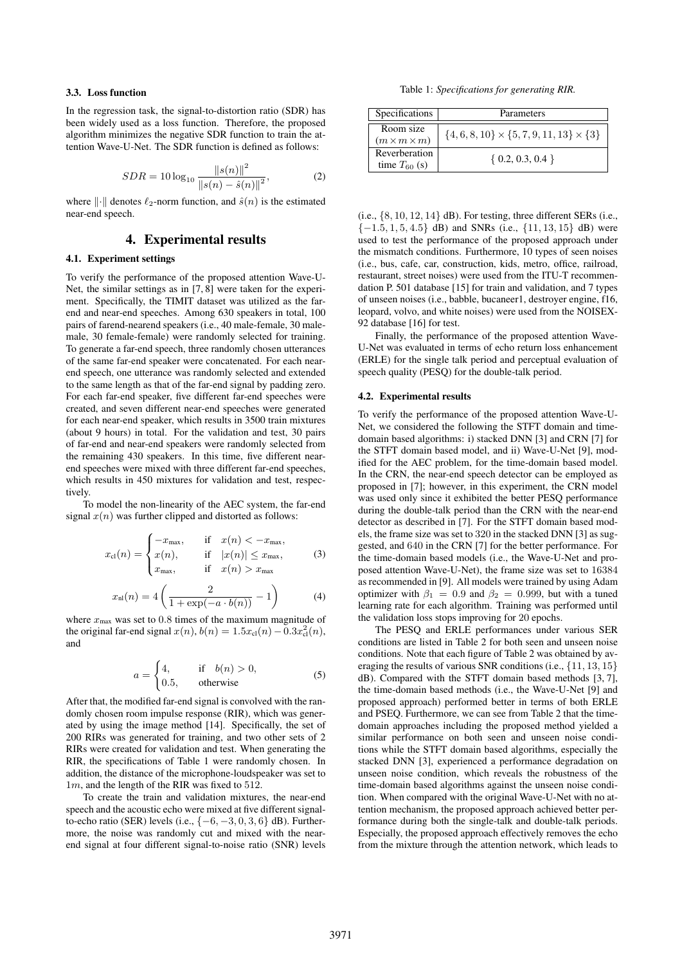#### 3.3. Loss function

In the regression task, the signal-to-distortion ratio (SDR) has been widely used as a loss function. Therefore, the proposed algorithm minimizes the negative SDR function to train the attention Wave-U-Net. The SDR function is defined as follows:

$$
SDR = 10 \log_{10} \frac{\|s(n)\|^2}{\|s(n) - \hat{s}(n)\|^2},
$$
 (2)

where  $\|\cdot\|$  denotes  $\ell_2$ -norm function, and  $\hat{s}(n)$  is the estimated near-end speech.

## 4. Experimental results

## 4.1. Experiment settings

To verify the performance of the proposed attention Wave-U-Net, the similar settings as in [7, 8] were taken for the experiment. Specifically, the TIMIT dataset was utilized as the farend and near-end speeches. Among 630 speakers in total, 100 pairs of farend-nearend speakers (i.e., 40 male-female, 30 malemale, 30 female-female) were randomly selected for training. To generate a far-end speech, three randomly chosen utterances of the same far-end speaker were concatenated. For each nearend speech, one utterance was randomly selected and extended to the same length as that of the far-end signal by padding zero. For each far-end speaker, five different far-end speeches were created, and seven different near-end speeches were generated for each near-end speaker, which results in 3500 train mixtures (about 9 hours) in total. For the validation and test, 30 pairs of far-end and near-end speakers were randomly selected from the remaining 430 speakers. In this time, five different nearend speeches were mixed with three different far-end speeches, which results in 450 mixtures for validation and test, respectively.

To model the non-linearity of the AEC system, the far-end signal  $x(n)$  was further clipped and distorted as follows:

$$
x_{\text{cl}}(n) = \begin{cases} -x_{\text{max}}, & \text{if } x(n) < -x_{\text{max}}, \\ x(n), & \text{if } |x(n)| \le x_{\text{max}}, \\ x_{\text{max}}, & \text{if } x(n) > x_{\text{max}} \end{cases} \tag{3}
$$

$$
x_{\rm nl}(n) = 4\left(\frac{2}{1 + \exp(-a \cdot b(n))} - 1\right) \tag{4}
$$

where  $x_{\text{max}}$  was set to 0.8 times of the maximum magnitude of the original far-end signal  $x(n)$ ,  $b(n) = 1.5x_{cl}(n) - 0.3x_{cl}^2(n)$ , and

$$
a = \begin{cases} 4, & \text{if } b(n) > 0, \\ 0.5, & \text{otherwise} \end{cases}
$$
 (5)

After that, the modified far-end signal is convolved with the randomly chosen room impulse response (RIR), which was generated by using the image method [14]. Specifically, the set of 200 RIRs was generated for training, and two other sets of 2 RIRs were created for validation and test. When generating the RIR, the specifications of Table 1 were randomly chosen. In addition, the distance of the microphone-loudspeaker was set to 1m, and the length of the RIR was fixed to 512.

To create the train and validation mixtures, the near-end speech and the acoustic echo were mixed at five different signalto-echo ratio (SER) levels (i.e.,  $\{-6, -3, 0, 3, 6\}$  dB). Furthermore, the noise was randomly cut and mixed with the nearend signal at four different signal-to-noise ratio (SNR) levels

Table 1: *Specifications for generating RIR.*

| Specifications                       | Parameters                                         |  |  |  |  |
|--------------------------------------|----------------------------------------------------|--|--|--|--|
| Room size<br>$(m \times m \times m)$ | $\{4,6,8,10\} \times \{5,7,9,11,13\} \times \{3\}$ |  |  |  |  |
| Reverberation<br>time $T_{60}$ (s)   | $\{0.2, 0.3, 0.4\}$                                |  |  |  |  |

(i.e.,  $\{8, 10, 12, 14\}$  dB). For testing, three different SERs (i.e.,  ${-1.5, 1, 5, 4.5}$  dB) and SNRs (i.e.,  ${11, 13, 15}$  dB) were used to test the performance of the proposed approach under the mismatch conditions. Furthermore, 10 types of seen noises (i.e., bus, cafe, car, construction, kids, metro, office, railroad, restaurant, street noises) were used from the ITU-T recommendation P. 501 database [15] for train and validation, and 7 types of unseen noises (i.e., babble, bucaneer1, destroyer engine, f16, leopard, volvo, and white noises) were used from the NOISEX-92 database [16] for test.

Finally, the performance of the proposed attention Wave-U-Net was evaluated in terms of echo return loss enhancement (ERLE) for the single talk period and perceptual evaluation of speech quality (PESQ) for the double-talk period.

#### 4.2. Experimental results

To verify the performance of the proposed attention Wave-U-Net, we considered the following the STFT domain and timedomain based algorithms: i) stacked DNN [3] and CRN [7] for the STFT domain based model, and ii) Wave-U-Net [9], modified for the AEC problem, for the time-domain based model. In the CRN, the near-end speech detector can be employed as proposed in [7]; however, in this experiment, the CRN model was used only since it exhibited the better PESQ performance during the double-talk period than the CRN with the near-end detector as described in [7]. For the STFT domain based models, the frame size was set to 320 in the stacked DNN [3] as suggested, and 640 in the CRN [7] for the better performance. For the time-domain based models (i.e., the Wave-U-Net and proposed attention Wave-U-Net), the frame size was set to 16384 as recommended in [9]. All models were trained by using Adam optimizer with  $\beta_1 = 0.9$  and  $\beta_2 = 0.999$ , but with a tuned learning rate for each algorithm. Training was performed until the validation loss stops improving for 20 epochs.

The PESQ and ERLE performances under various SER conditions are listed in Table 2 for both seen and unseen noise conditions. Note that each figure of Table 2 was obtained by averaging the results of various SNR conditions (i.e., {11, 13, 15} dB). Compared with the STFT domain based methods [3, 7], the time-domain based methods (i.e., the Wave-U-Net [9] and proposed approach) performed better in terms of both ERLE and PSEQ. Furthermore, we can see from Table 2 that the timedomain approaches including the proposed method yielded a similar performance on both seen and unseen noise conditions while the STFT domain based algorithms, especially the stacked DNN [3], experienced a performance degradation on unseen noise condition, which reveals the robustness of the time-domain based algorithms against the unseen noise condition. When compared with the original Wave-U-Net with no attention mechanism, the proposed approach achieved better performance during both the single-talk and double-talk periods. Especially, the proposed approach effectively removes the echo from the mixture through the attention network, which leads to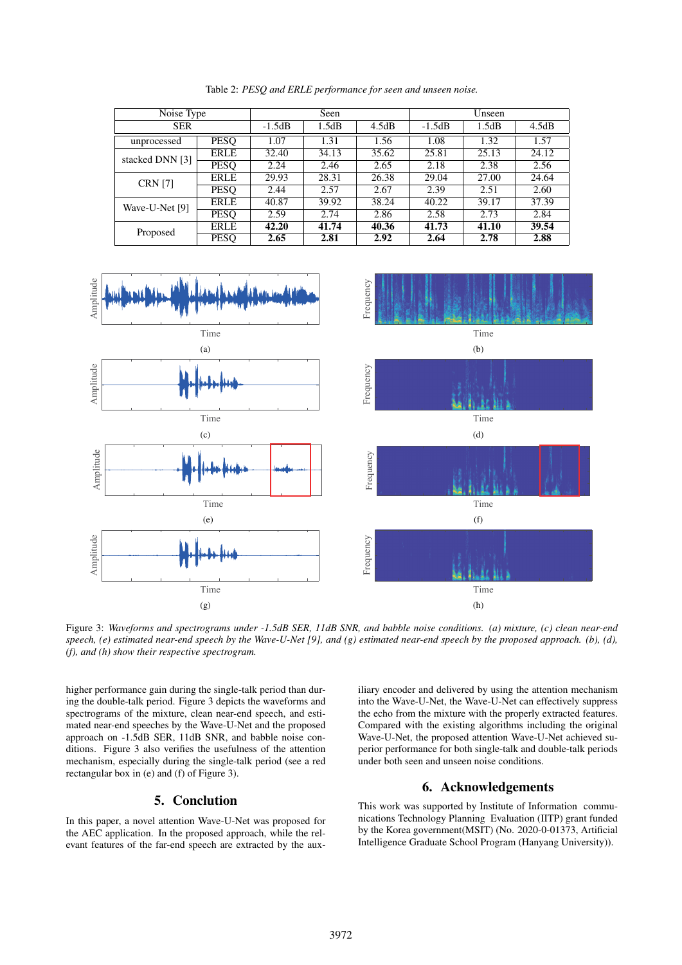| Noise Type      |             | Seen     |       |       | Unseen   |       |       |
|-----------------|-------------|----------|-------|-------|----------|-------|-------|
| <b>SER</b>      |             | $-1.5dB$ | 1.5dB | 4.5dB | $-1.5dB$ | 1.5dB | 4.5dB |
| unprocessed     | <b>PESO</b> | 1.07     | 1.31  | 1.56  | 1.08     | 1.32  | 1.57  |
| stacked DNN [3] | <b>ERLE</b> | 32.40    | 34.13 | 35.62 | 25.81    | 25.13 | 24.12 |
|                 | <b>PESO</b> | 2.24     | 2.46  | 2.65  | 2.18     | 2.38  | 2.56  |
| <b>CRN</b> [7]  | <b>ERLE</b> | 29.93    | 28.31 | 26.38 | 29.04    | 27.00 | 24.64 |
|                 | <b>PESO</b> | 2.44     | 2.57  | 2.67  | 2.39     | 2.51  | 2.60  |
| Wave-U-Net [9]  | <b>ERLE</b> | 40.87    | 39.92 | 38.24 | 40.22    | 39.17 | 37.39 |
|                 | <b>PESQ</b> | 2.59     | 2.74  | 2.86  | 2.58     | 2.73  | 2.84  |
| Proposed        | <b>ERLE</b> | 42.20    | 41.74 | 40.36 | 41.73    | 41.10 | 39.54 |
|                 | <b>PESO</b> | 2.65     | 2.81  | 2.92  | 2.64     | 2.78  | 2.88  |

Table 2: *PESQ and ERLE performance for seen and unseen noise.*



Figure 3: *Waveforms and spectrograms under -1.5dB SER, 11dB SNR, and babble noise conditions. (a) mixture, (c) clean near-end speech, (e) estimated near-end speech by the Wave-U-Net [9], and (g) estimated near-end speech by the proposed approach. (b), (d), (f), and (h) show their respective spectrogram.*

higher performance gain during the single-talk period than during the double-talk period. Figure 3 depicts the waveforms and spectrograms of the mixture, clean near-end speech, and estimated near-end speeches by the Wave-U-Net and the proposed approach on -1.5dB SER, 11dB SNR, and babble noise conditions. Figure 3 also verifies the usefulness of the attention mechanism, especially during the single-talk period (see a red rectangular box in (e) and (f) of Figure 3).

### 5. Conclution

In this paper, a novel attention Wave-U-Net was proposed for the AEC application. In the proposed approach, while the relevant features of the far-end speech are extracted by the aux-

iliary encoder and delivered by using the attention mechanism into the Wave-U-Net, the Wave-U-Net can effectively suppress the echo from the mixture with the properly extracted features. Compared with the existing algorithms including the original Wave-U-Net, the proposed attention Wave-U-Net achieved superior performance for both single-talk and double-talk periods under both seen and unseen noise conditions.

## 6. Acknowledgements

This work was supported by Institute of Information communications Technology Planning Evaluation (IITP) grant funded by the Korea government(MSIT) (No. 2020-0-01373, Artificial Intelligence Graduate School Program (Hanyang University)).